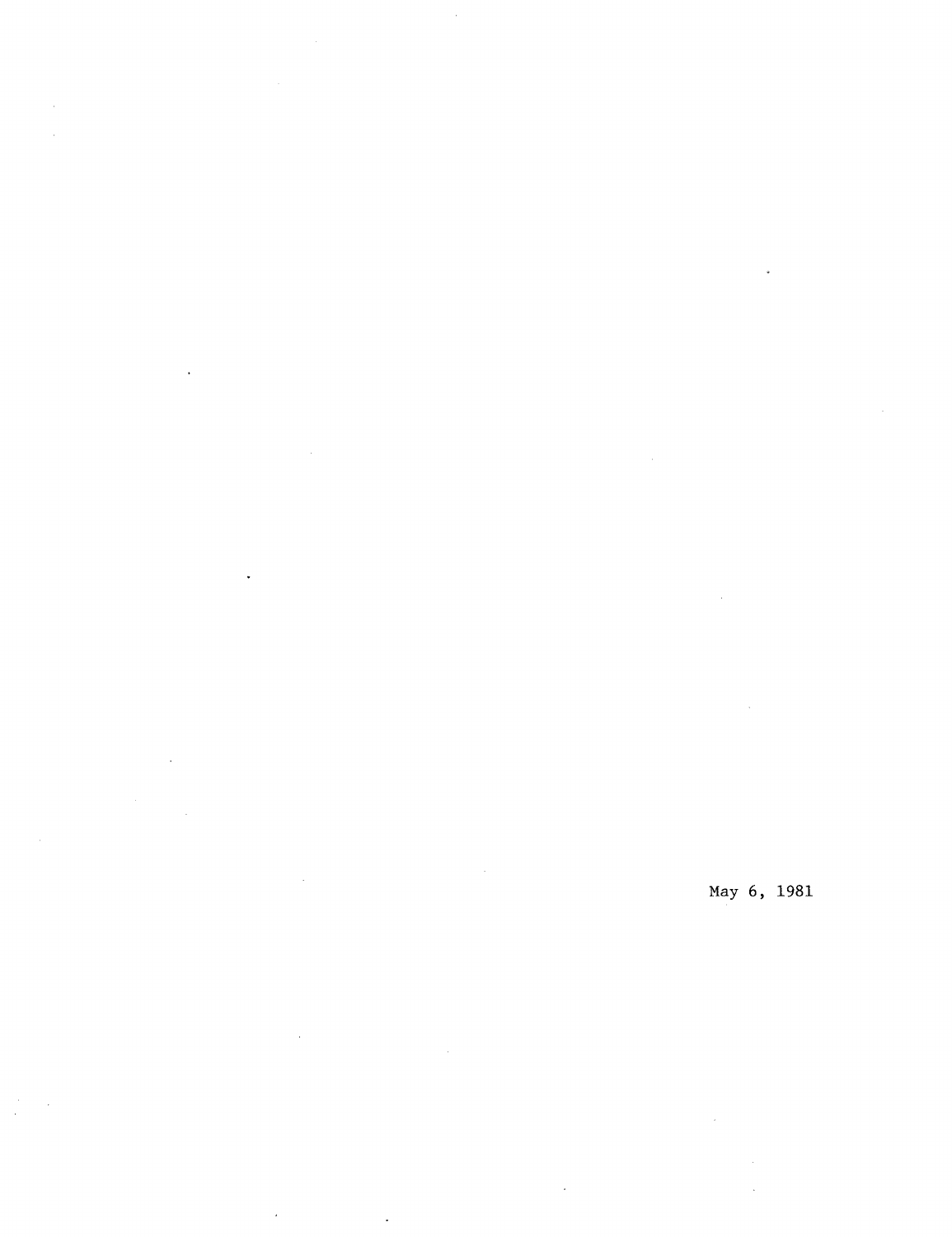May 6, 1981

 $\mathcal{A}$ 

 $\epsilon$ 

 $\hat{\mathcal{E}}$ 

 $\frac{1}{2}$ 

 $\bar{z}$ ÷.

 $\ddot{\phantom{1}}$ 

J.

 $\ddot{\phantom{a}}$ 

 $\bar{z}$ 

 $\hat{\mathcal{L}}$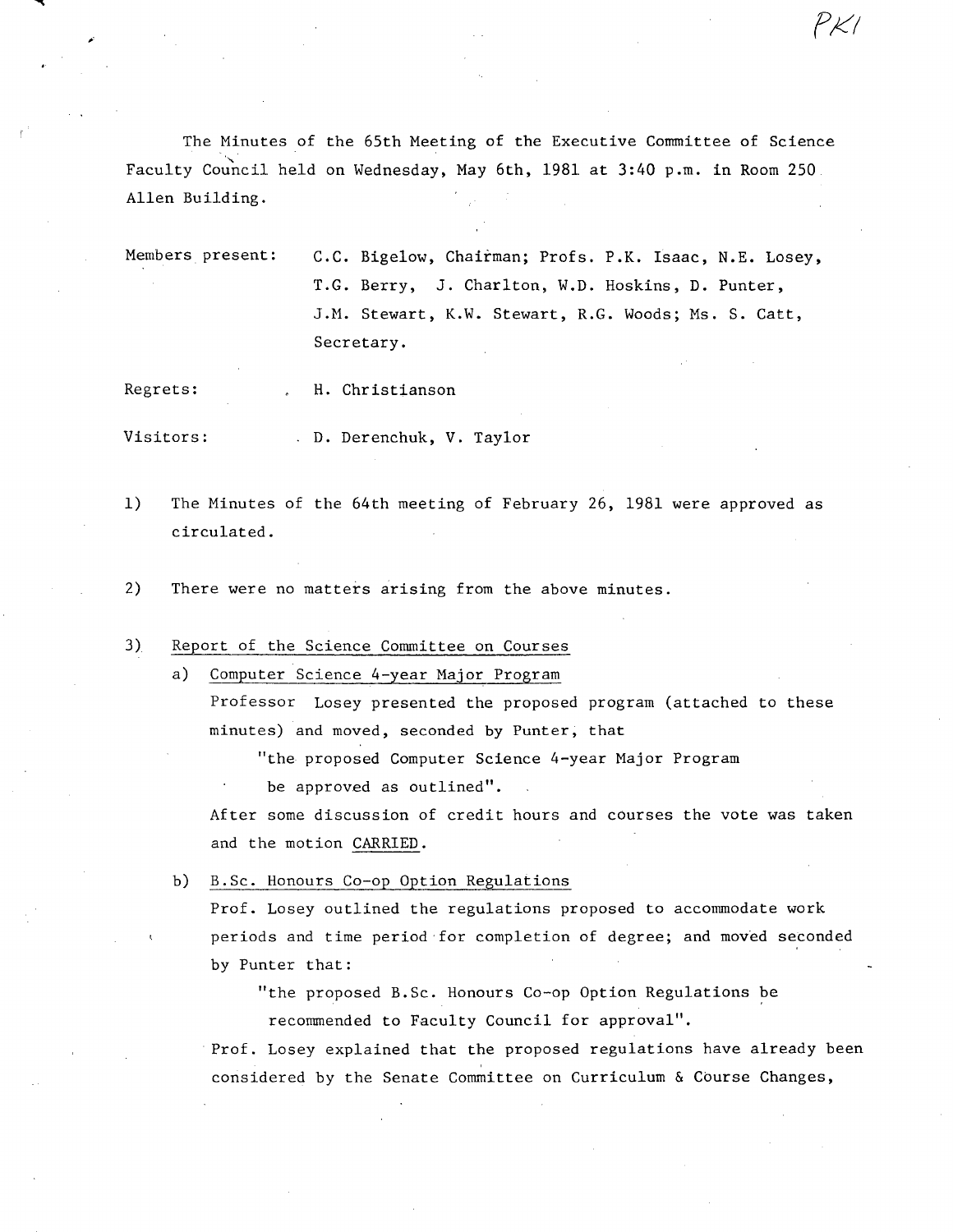The Minutes of the 65th Meeting of the Executive Committee of Science Faculty Council held on Wednesday, May 6th, 1981 at 3:40 p.m. in Room 250. Allen Building.

Members present: C.C. Bigelow, Chairman; Profs. P.R. Isaac, N.E. Losey, T.G. Berry, J. Charlton, W.D. Hoskins, D. Punter, J.M. Stewart, K.W. Stewart, R.G. Woods; Ms. S. Catt, Secretary.

*X'7* 

Regrets: H. Christianson

Visitors: D. Derenchuk, V. Taylor

- $1)$ The Minutes of the 64th meeting of February 26, 1981 were approved as circulated.
- $2)$ There were no matters arising from the above minutes.

3) Report of the Science Committee on Courses

> Computer Science 4-year Major Program  $a)$

Professor Losey presented the proposed program (attached to these minutes) and moved, seconded by Punter, that

"the proposed Computer Science 4-year Major Program

be approved as outlined".

After some discussion of credit hours and courses the vote was taken and the motion CARRIED.

b) B.Sc. Honours Co-op Option Regulations

Prof. Losey outlined the regulations proposed to accommodate work periods and time period for completion of degree; and moved seconded by Punter that:

"the proposed B.Sc. Honours Co-op Option Regulations be recommended to Faculty Council for approval".

Prof. Losey explained that the proposed regulations have already been considered by the Senate Committee on Curriculum & Course Changes,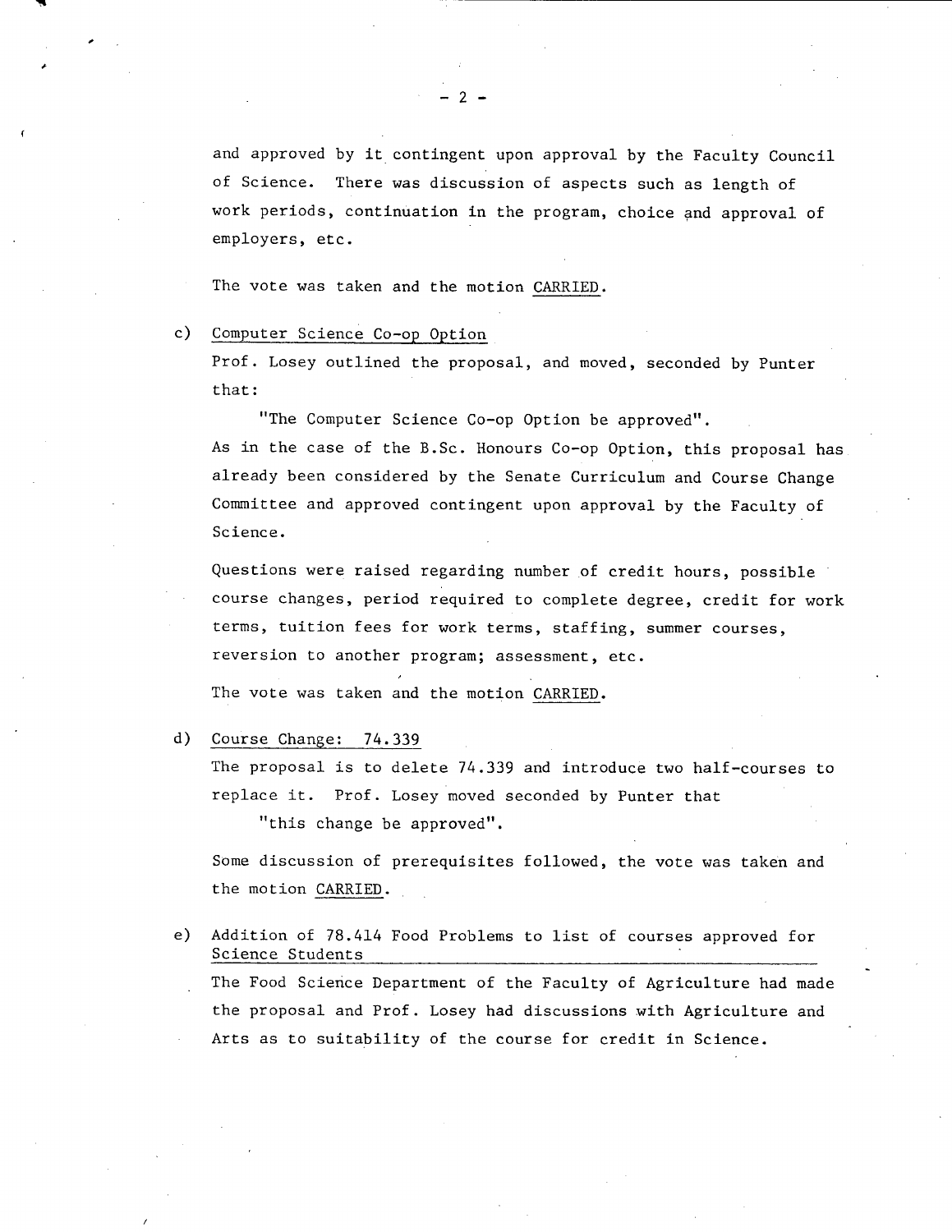and approved by it contingent upon approval by the Faculty Council of Science. There was discussion of aspects such as length of work periods, continuation in the program, choice and approval of employers, etc.

The vote was taken and the motion CARRIED.

## $c)$ Computer Science Co-op Option

**ra** 

Prof. Losey outlined the proposal, and moved, seconded by Punter that:

"The Computer Science Co-op Option be approved". As in the case of the B.Sc. Honours Co-op Option, this proposal has already been considered by the Senate Curriculum and Course Change Committee and approved contingent upon approval by the Faculty of Science.

Questions were raised regarding number of credit hours, possible course changes, period required to complete degree, credit for work terms, tuition fees for work terms, staffing, summer courses, reversion to another program; assessment, etc.

The vote was taken and the motion CARRIED.

Course Change: 74.339  $d)$ 

> The proposal is to delete 74.339 and introduce two half-courses to replace it. Prof. Losey moved seconded by Punter that "this change be approved".

Some discussion of prerequisites followed, the vote was taken and the motion CARRIED.

 $e$ ) Addition of 78.414 Food Problems to list of courses approved for Science Students The Food Science Department of the Faculty of Agriculture had made the proposal and Prof. Losey had discussions with Agriculture and Arts as to suitability of the course for credit in Science.

 $-2-$